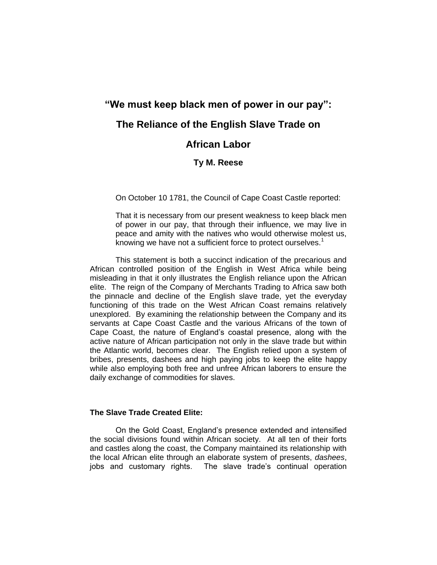# **"We must keep black men of power in our pay": The Reliance of the English Slave Trade on African Labor**

## **Ty M. Reese**

On October 10 1781, the Council of Cape Coast Castle reported:

That it is necessary from our present weakness to keep black men of power in our pay, that through their influence, we may live in peace and amity with the natives who would otherwise molest us, knowing we have not a sufficient force to protect ourselves.<sup>1</sup>

This statement is both a succinct indication of the precarious and African controlled position of the English in West Africa while being misleading in that it only illustrates the English reliance upon the African elite. The reign of the Company of Merchants Trading to Africa saw both the pinnacle and decline of the English slave trade, yet the everyday functioning of this trade on the West African Coast remains relatively unexplored. By examining the relationship between the Company and its servants at Cape Coast Castle and the various Africans of the town of Cape Coast, the nature of England's coastal presence, along with the active nature of African participation not only in the slave trade but within the Atlantic world, becomes clear. The English relied upon a system of bribes, presents, dashees and high paying jobs to keep the elite happy while also employing both free and unfree African laborers to ensure the daily exchange of commodities for slaves.

## **The Slave Trade Created Elite:**

On the Gold Coast, England's presence extended and intensified the social divisions found within African society. At all ten of their forts and castles along the coast, the Company maintained its relationship with the local African elite through an elaborate system of presents, *dashees*, jobs and customary rights. The slave trade's continual operation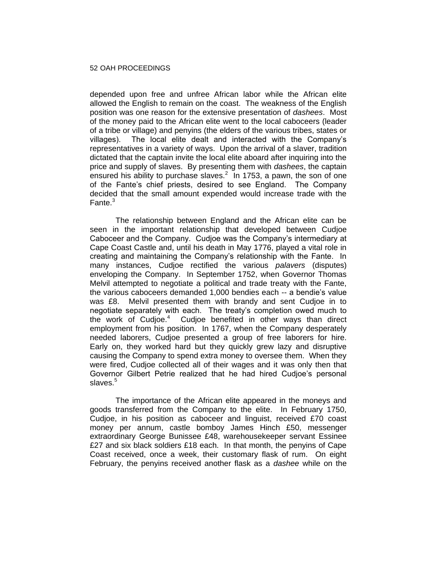depended upon free and unfree African labor while the African elite allowed the English to remain on the coast. The weakness of the English position was one reason for the extensive presentation of *dashees*. Most of the money paid to the African elite went to the local caboceers (leader of a tribe or village) and penyins (the elders of the various tribes, states or villages). The local elite dealt and interacted with the Company's representatives in a variety of ways. Upon the arrival of a slaver, tradition dictated that the captain invite the local elite aboard after inquiring into the price and supply of slaves. By presenting them with *dashees*, the captain ensured his ability to purchase slaves. $2$  In 1753, a pawn, the son of one of the Fante's chief priests, desired to see England. The Company decided that the small amount expended would increase trade with the Fante.<sup>3</sup>

The relationship between England and the African elite can be seen in the important relationship that developed between Cudjoe Caboceer and the Company. Cudjoe was the Company's intermediary at Cape Coast Castle and, until his death in May 1776, played a vital role in creating and maintaining the Company's relationship with the Fante. In many instances, Cudjoe rectified the various *palavers* (disputes) enveloping the Company. In September 1752, when Governor Thomas Melvil attempted to negotiate a political and trade treaty with the Fante, the various caboceers demanded 1,000 bendies each -- a bendie's value was £8. Melvil presented them with brandy and sent Cudjoe in to negotiate separately with each. The treaty's completion owed much to the work of Cudjoe.<sup>4</sup> Cudjoe benefited in other ways than direct employment from his position. In 1767, when the Company desperately needed laborers, Cudjoe presented a group of free laborers for hire. Early on, they worked hard but they quickly grew lazy and disruptive causing the Company to spend extra money to oversee them. When they were fired, Cudjoe collected all of their wages and it was only then that Governor Gilbert Petrie realized that he had hired Cudjoe's personal slaves.<sup>5</sup>

The importance of the African elite appeared in the moneys and goods transferred from the Company to the elite. In February 1750, Cudjoe, in his position as caboceer and linguist, received £70 coast money per annum, castle bomboy James Hinch £50, messenger extraordinary George Bunissee £48, warehousekeeper servant Essinee £27 and six black soldiers £18 each. In that month, the penyins of Cape Coast received, once a week, their customary flask of rum. On eight February, the penyins received another flask as a *dashee* while on the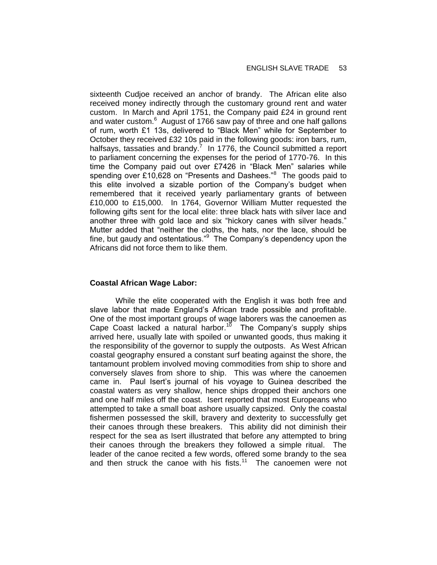sixteenth Cudjoe received an anchor of brandy. The African elite also received money indirectly through the customary ground rent and water custom. In March and April 1751, the Company paid £24 in ground rent and water custom.<sup>6</sup> August of 1766 saw pay of three and one half gallons of rum, worth £1 13s, delivered to "Black Men" while for September to October they received £32 10s paid in the following goods: iron bars, rum, halfsays, tassaties and brandy.<sup>7</sup> In 1776, the Council submitted a report to parliament concerning the expenses for the period of 1770-76. In this time the Company paid out over £7426 in "Black Men" salaries while spending over £10,628 on "Presents and Dashees."<sup>8</sup> The goods paid to this elite involved a sizable portion of the Company's budget when remembered that it received yearly parliamentary grants of between £10,000 to £15,000. In 1764, Governor William Mutter requested the following gifts sent for the local elite: three black hats with silver lace and another three with gold lace and six "hickory canes with silver heads." Mutter added that "neither the cloths, the hats, nor the lace, should be fine, but gaudy and ostentatious."<sup>9</sup> The Company's dependency upon the Africans did not force them to like them.

## **Coastal African Wage Labor:**

While the elite cooperated with the English it was both free and slave labor that made England's African trade possible and profitable. One of the most important groups of wage laborers was the canoemen as Cape Coast lacked a natural harbor.<sup>10</sup> The Company's supply ships arrived here, usually late with spoiled or unwanted goods, thus making it the responsibility of the governor to supply the outposts. As West African coastal geography ensured a constant surf beating against the shore, the tantamount problem involved moving commodities from ship to shore and conversely slaves from shore to ship. This was where the canoemen came in. Paul Isert's journal of his voyage to Guinea described the coastal waters as very shallow, hence ships dropped their anchors one and one half miles off the coast. Isert reported that most Europeans who attempted to take a small boat ashore usually capsized. Only the coastal fishermen possessed the skill, bravery and dexterity to successfully get their canoes through these breakers. This ability did not diminish their respect for the sea as Isert illustrated that before any attempted to bring their canoes through the breakers they followed a simple ritual. The leader of the canoe recited a few words, offered some brandy to the sea and then struck the canoe with his fists.<sup>11</sup> The canoemen were not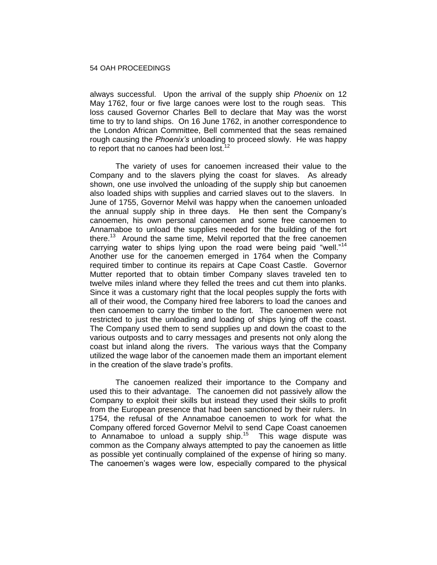always successful. Upon the arrival of the supply ship *Phoenix* on 12 May 1762, four or five large canoes were lost to the rough seas. This loss caused Governor Charles Bell to declare that May was the worst time to try to land ships. On 16 June 1762, in another correspondence to the London African Committee, Bell commented that the seas remained rough causing the *Phoenix's* unloading to proceed slowly. He was happy to report that no canoes had been lost.<sup>12</sup>

The variety of uses for canoemen increased their value to the Company and to the slavers plying the coast for slaves. As already shown, one use involved the unloading of the supply ship but canoemen also loaded ships with supplies and carried slaves out to the slavers. In June of 1755, Governor Melvil was happy when the canoemen unloaded the annual supply ship in three days. He then sent the Company's canoemen, his own personal canoemen and some free canoemen to Annamaboe to unload the supplies needed for the building of the fort there.<sup>13</sup> Around the same time, Melvil reported that the free canoemen carrying water to ships lying upon the road were being paid "well."<sup>14</sup> Another use for the canoemen emerged in 1764 when the Company required timber to continue its repairs at Cape Coast Castle. Governor Mutter reported that to obtain timber Company slaves traveled ten to twelve miles inland where they felled the trees and cut them into planks. Since it was a customary right that the local peoples supply the forts with all of their wood, the Company hired free laborers to load the canoes and then canoemen to carry the timber to the fort. The canoemen were not restricted to just the unloading and loading of ships lying off the coast. The Company used them to send supplies up and down the coast to the various outposts and to carry messages and presents not only along the coast but inland along the rivers. The various ways that the Company utilized the wage labor of the canoemen made them an important element in the creation of the slave trade's profits.

The canoemen realized their importance to the Company and used this to their advantage. The canoemen did not passively allow the Company to exploit their skills but instead they used their skills to profit from the European presence that had been sanctioned by their rulers. In 1754, the refusal of the Annamaboe canoemen to work for what the Company offered forced Governor Melvil to send Cape Coast canoemen to Annamaboe to unload a supply ship. $15$  This wage dispute was common as the Company always attempted to pay the canoemen as little as possible yet continually complained of the expense of hiring so many. The canoemen's wages were low, especially compared to the physical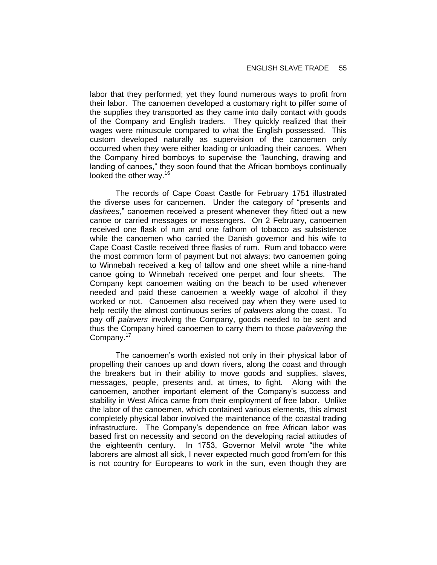labor that they performed; yet they found numerous ways to profit from their labor. The canoemen developed a customary right to pilfer some of the supplies they transported as they came into daily contact with goods of the Company and English traders. They quickly realized that their wages were minuscule compared to what the English possessed. This custom developed naturally as supervision of the canoemen only occurred when they were either loading or unloading their canoes. When the Company hired bomboys to supervise the "launching, drawing and landing of canoes," they soon found that the African bomboys continually looked the other way. $16$ 

The records of Cape Coast Castle for February 1751 illustrated the diverse uses for canoemen. Under the category of "presents and *dashees*," canoemen received a present whenever they fitted out a new canoe or carried messages or messengers. On 2 February, canoemen received one flask of rum and one fathom of tobacco as subsistence while the canoemen who carried the Danish governor and his wife to Cape Coast Castle received three flasks of rum. Rum and tobacco were the most common form of payment but not always: two canoemen going to Winnebah received a keg of tallow and one sheet while a nine-hand canoe going to Winnebah received one perpet and four sheets. The Company kept canoemen waiting on the beach to be used whenever needed and paid these canoemen a weekly wage of alcohol if they worked or not. Canoemen also received pay when they were used to help rectify the almost continuous series of *palavers* along the coast. To pay off *palavers* involving the Company, goods needed to be sent and thus the Company hired canoemen to carry them to those *palavering* the Company.<sup>17</sup>

The canoemen's worth existed not only in their physical labor of propelling their canoes up and down rivers, along the coast and through the breakers but in their ability to move goods and supplies, slaves, messages, people, presents and, at times, to fight. Along with the canoemen, another important element of the Company's success and stability in West Africa came from their employment of free labor. Unlike the labor of the canoemen, which contained various elements, this almost completely physical labor involved the maintenance of the coastal trading infrastructure. The Company's dependence on free African labor was based first on necessity and second on the developing racial attitudes of the eighteenth century. In 1753, Governor Melvil wrote "the white laborers are almost all sick, I never expected much good from'em for this is not country for Europeans to work in the sun, even though they are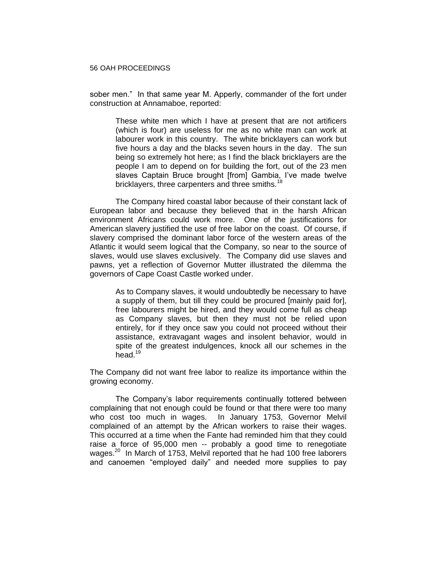sober men." In that same year M. Apperly, commander of the fort under construction at Annamaboe, reported:

These white men which I have at present that are not artificers (which is four) are useless for me as no white man can work at labourer work in this country. The white bricklayers can work but five hours a day and the blacks seven hours in the day. The sun being so extremely hot here; as I find the black bricklayers are the people I am to depend on for building the fort, out of the 23 men slaves Captain Bruce brought [from] Gambia, I've made twelve bricklayers, three carpenters and three smiths.<sup>18</sup>

The Company hired coastal labor because of their constant lack of European labor and because they believed that in the harsh African environment Africans could work more. One of the justifications for American slavery justified the use of free labor on the coast. Of course, if slavery comprised the dominant labor force of the western areas of the Atlantic it would seem logical that the Company, so near to the source of slaves, would use slaves exclusively. The Company did use slaves and pawns, yet a reflection of Governor Mutter illustrated the dilemma the governors of Cape Coast Castle worked under.

As to Company slaves, it would undoubtedly be necessary to have a supply of them, but till they could be procured [mainly paid for], free labourers might be hired, and they would come full as cheap as Company slaves, but then they must not be relied upon entirely, for if they once saw you could not proceed without their assistance, extravagant wages and insolent behavior, would in spite of the greatest indulgences, knock all our schemes in the head. $19$ 

The Company did not want free labor to realize its importance within the growing economy.

The Company's labor requirements continually tottered between complaining that not enough could be found or that there were too many who cost too much in wages. In January 1753, Governor Melvil complained of an attempt by the African workers to raise their wages. This occurred at a time when the Fante had reminded him that they could raise a force of 95,000 men -- probably a good time to renegotiate wages.<sup>20</sup> In March of 1753, Melvil reported that he had 100 free laborers and canoemen "employed daily" and needed more supplies to pay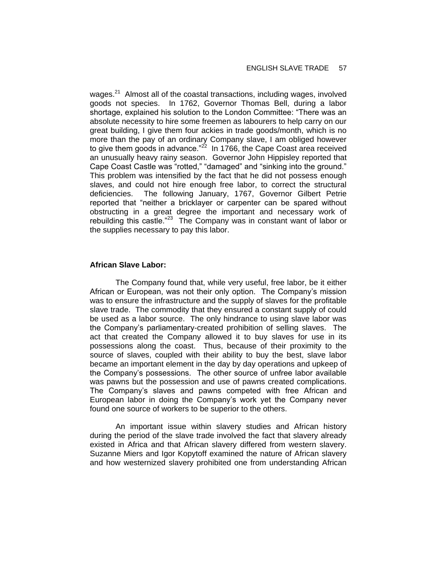wages.<sup>21</sup> Almost all of the coastal transactions, including wages, involved goods not species. In 1762, Governor Thomas Bell, during a labor shortage, explained his solution to the London Committee: "There was an absolute necessity to hire some freemen as labourers to help carry on our great building, I give them four ackies in trade goods/month, which is no more than the pay of an ordinary Company slave, I am obliged however to give them goods in advance." $^{22}$  In 1766, the Cape Coast area received an unusually heavy rainy season. Governor John Hippisley reported that Cape Coast Castle was "rotted," "damaged" and "sinking into the ground." This problem was intensified by the fact that he did not possess enough slaves, and could not hire enough free labor, to correct the structural deficiencies. The following January, 1767, Governor Gilbert Petrie reported that "neither a bricklayer or carpenter can be spared without obstructing in a great degree the important and necessary work of rebuilding this castle."<sup>23</sup> The Company was in constant want of labor or the supplies necessary to pay this labor.

## **African Slave Labor:**

The Company found that, while very useful, free labor, be it either African or European, was not their only option. The Company's mission was to ensure the infrastructure and the supply of slaves for the profitable slave trade. The commodity that they ensured a constant supply of could be used as a labor source. The only hindrance to using slave labor was the Company's parliamentary-created prohibition of selling slaves. The act that created the Company allowed it to buy slaves for use in its possessions along the coast. Thus, because of their proximity to the source of slaves, coupled with their ability to buy the best, slave labor became an important element in the day by day operations and upkeep of the Company's possessions. The other source of unfree labor available was pawns but the possession and use of pawns created complications. The Company's slaves and pawns competed with free African and European labor in doing the Company's work yet the Company never found one source of workers to be superior to the others.

An important issue within slavery studies and African history during the period of the slave trade involved the fact that slavery already existed in Africa and that African slavery differed from western slavery. Suzanne Miers and Igor Kopytoff examined the nature of African slavery and how westernized slavery prohibited one from understanding African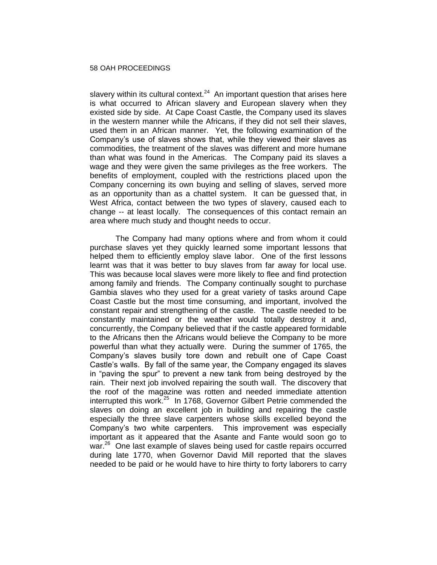slavery within its cultural context. $24$  An important question that arises here is what occurred to African slavery and European slavery when they existed side by side. At Cape Coast Castle, the Company used its slaves in the western manner while the Africans, if they did not sell their slaves, used them in an African manner. Yet, the following examination of the Company's use of slaves shows that, while they viewed their slaves as commodities, the treatment of the slaves was different and more humane than what was found in the Americas. The Company paid its slaves a wage and they were given the same privileges as the free workers. The benefits of employment, coupled with the restrictions placed upon the Company concerning its own buying and selling of slaves, served more as an opportunity than as a chattel system. It can be guessed that, in West Africa, contact between the two types of slavery, caused each to change -- at least locally. The consequences of this contact remain an area where much study and thought needs to occur.

The Company had many options where and from whom it could purchase slaves yet they quickly learned some important lessons that helped them to efficiently employ slave labor. One of the first lessons learnt was that it was better to buy slaves from far away for local use. This was because local slaves were more likely to flee and find protection among family and friends. The Company continually sought to purchase Gambia slaves who they used for a great variety of tasks around Cape Coast Castle but the most time consuming, and important, involved the constant repair and strengthening of the castle. The castle needed to be constantly maintained or the weather would totally destroy it and, concurrently, the Company believed that if the castle appeared formidable to the Africans then the Africans would believe the Company to be more powerful than what they actually were. During the summer of 1765, the Company's slaves busily tore down and rebuilt one of Cape Coast Castle's walls. By fall of the same year, the Company engaged its slaves in "paving the spur" to prevent a new tank from being destroyed by the rain. Their next job involved repairing the south wall. The discovery that the roof of the magazine was rotten and needed immediate attention interrupted this work.<sup>25</sup> In 1768, Governor Gilbert Petrie commended the slaves on doing an excellent job in building and repairing the castle especially the three slave carpenters whose skills excelled beyond the Company's two white carpenters. This improvement was especially important as it appeared that the Asante and Fante would soon go to war.<sup>26</sup> One last example of slaves being used for castle repairs occurred during late 1770, when Governor David Mill reported that the slaves needed to be paid or he would have to hire thirty to forty laborers to carry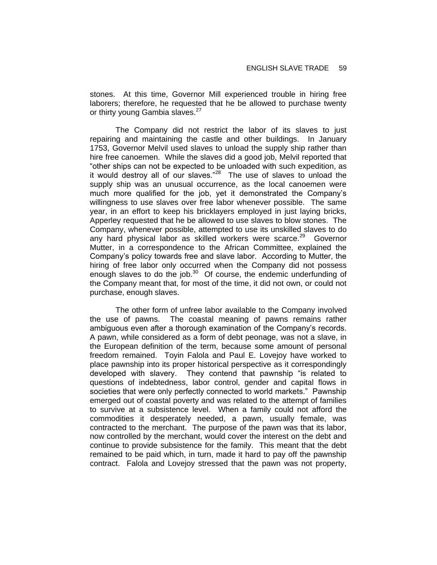stones. At this time, Governor Mill experienced trouble in hiring free laborers; therefore, he requested that he be allowed to purchase twenty or thirty young Gambia slaves.<sup>27</sup>

The Company did not restrict the labor of its slaves to just repairing and maintaining the castle and other buildings. In January 1753, Governor Melvil used slaves to unload the supply ship rather than hire free canoemen. While the slaves did a good job, Melvil reported that "other ships can not be expected to be unloaded with such expedition, as it would destroy all of our slaves."<sup>28</sup> The use of slaves to unload the supply ship was an unusual occurrence, as the local canoemen were much more qualified for the job, yet it demonstrated the Company's willingness to use slaves over free labor whenever possible. The same year, in an effort to keep his bricklayers employed in just laying bricks, Apperley requested that he be allowed to use slaves to blow stones. The Company, whenever possible, attempted to use its unskilled slaves to do any hard physical labor as skilled workers were scarce.<sup>29</sup> Governor Mutter, in a correspondence to the African Committee, explained the Company's policy towards free and slave labor. According to Mutter, the hiring of free labor only occurred when the Company did not possess enough slaves to do the job. $30$  Of course, the endemic underfunding of the Company meant that, for most of the time, it did not own, or could not purchase, enough slaves.

The other form of unfree labor available to the Company involved the use of pawns. The coastal meaning of pawns remains rather ambiguous even after a thorough examination of the Company's records. A pawn, while considered as a form of debt peonage, was not a slave, in the European definition of the term, because some amount of personal freedom remained. Toyin Falola and Paul E. Lovejoy have worked to place pawnship into its proper historical perspective as it correspondingly developed with slavery. They contend that pawnship "is related to questions of indebtedness, labor control, gender and capital flows in societies that were only perfectly connected to world markets." Pawnship emerged out of coastal poverty and was related to the attempt of families to survive at a subsistence level. When a family could not afford the commodities it desperately needed, a pawn, usually female, was contracted to the merchant. The purpose of the pawn was that its labor, now controlled by the merchant, would cover the interest on the debt and continue to provide subsistence for the family. This meant that the debt remained to be paid which, in turn, made it hard to pay off the pawnship contract. Falola and Lovejoy stressed that the pawn was not property,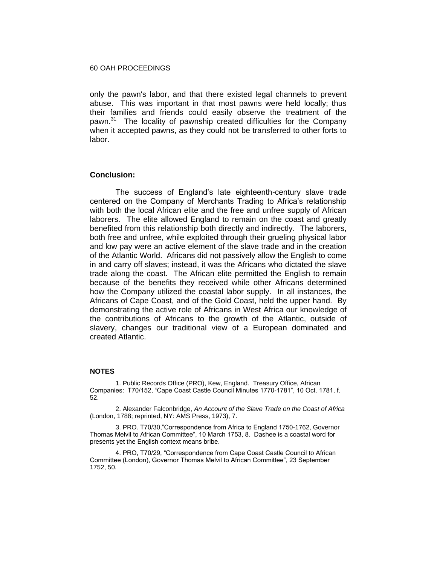only the pawn's labor, and that there existed legal channels to prevent abuse. This was important in that most pawns were held locally; thus their families and friends could easily observe the treatment of the pawn.<sup>31</sup> The locality of pawnship created difficulties for the Company when it accepted pawns, as they could not be transferred to other forts to labor.

## **Conclusion:**

The success of England's late eighteenth-century slave trade centered on the Company of Merchants Trading to Africa's relationship with both the local African elite and the free and unfree supply of African laborers. The elite allowed England to remain on the coast and greatly benefited from this relationship both directly and indirectly. The laborers, both free and unfree, while exploited through their grueling physical labor and low pay were an active element of the slave trade and in the creation of the Atlantic World. Africans did not passively allow the English to come in and carry off slaves; instead, it was the Africans who dictated the slave trade along the coast. The African elite permitted the English to remain because of the benefits they received while other Africans determined how the Company utilized the coastal labor supply. In all instances, the Africans of Cape Coast, and of the Gold Coast, held the upper hand. By demonstrating the active role of Africans in West Africa our knowledge of the contributions of Africans to the growth of the Atlantic, outside of slavery, changes our traditional view of a European dominated and created Atlantic.

#### **NOTES**

1. Public Records Office (PRO), Kew, England. Treasury Office, African Companies: T70/152, "Cape Coast Castle Council Minutes 1770-1781", 10 Oct. 1781, f. 52.

2. Alexander Falconbridge, *An Account of the Slave Trade on the Coast of Africa*  (London, 1788; reprinted, NY: AMS Press, 1973), 7.

3. PRO. T70/30,"Correspondence from Africa to England 1750-1762, Governor Thomas Melvil to African Committee", 10 March 1753, 8. Dashee is a coastal word for presents yet the English context means bribe.

4. PRO, T70/29, "Correspondence from Cape Coast Castle Council to African Committee (London), Governor Thomas Melvil to African Committee", 23 September 1752, 50.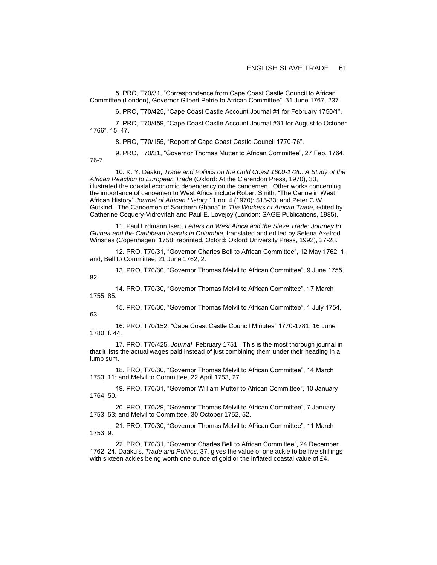5. PRO, T70/31, "Correspondence from Cape Coast Castle Council to African Committee (London), Governor Gilbert Petrie to African Committee", 31 June 1767, 237.

6. PRO, T70/425, "Cape Coast Castle Account Journal #1 for February 1750/1".

7. PRO, T70/459, "Cape Coast Castle Account Journal #31 for August to October 1766", 15, 47.

8. PRO, T70/155, "Report of Cape Coast Castle Council 1770-76".

9. PRO, T70/31, "Governor Thomas Mutter to African Committee", 27 Feb. 1764, 76-7.

10. K. Y. Daaku, *Trade and Politics on the Gold Coast 1600-1720: A Study of the African Reaction to European Trade* (Oxford: At the Clarendon Press, 1970), 33, illustrated the coastal economic dependency on the canoemen. Other works concerning the importance of canoemen to West Africa include Robert Smith, "The Canoe in West African History" *Journal of African History* 11 no. 4 (1970): 515-33; and Peter C.W. Gutkind, "The Canoemen of Southern Ghana" in *The Workers of African Trade*, edited by Catherine Coquery-Vidrovitah and Paul E. Lovejoy (London: SAGE Publications, 1985).

11. Paul Erdmann Isert, *Letters on West Africa and the Slave Trade: Journey to Guinea and the Caribbean Islands in Columbia*, translated and edited by Selena Axelrod Winsnes (Copenhagen: 1758; reprinted, Oxford: Oxford University Press, 1992), 27-28.

12. PRO, T70/31, "Governor Charles Bell to African Committee", 12 May 1762, 1; and, Bell to Committee, 21 June 1762, 2.

13. PRO, T70/30, "Governor Thomas Melvil to African Committee", 9 June 1755, 82.

14. PRO, T70/30, "Governor Thomas Melvil to African Committee", 17 March 1755, 85.

15. PRO, T70/30, "Governor Thomas Melvil to African Committee", 1 July 1754, 63.

16. PRO, T70/152, "Cape Coast Castle Council Minutes" 1770-1781, 16 June 1780, f. 44.

17. PRO, T70/425, *Journal*, February 1751. This is the most thorough journal in that it lists the actual wages paid instead of just combining them under their heading in a lump sum.

18. PRO, T70/30, "Governor Thomas Melvil to African Committee", 14 March 1753, 11; and Melvil to Committee, 22 April 1753, 27.

19. PRO, T70/31, "Governor William Mutter to African Committee", 10 January 1764, 50.

20. PRO, T70/29, "Governor Thomas Melvil to African Committee", 7 January 1753, 53; and Melvil to Committee, 30 October 1752, 52.

21. PRO, T70/30, "Governor Thomas Melvil to African Committee", 11 March 1753, 9.

22. PRO, T70/31, "Governor Charles Bell to African Committee", 24 December 1762, 24. Daaku's, *Trade and Politics*, 37, gives the value of one ackie to be five shillings with sixteen ackies being worth one ounce of gold or the inflated coastal value of £4.